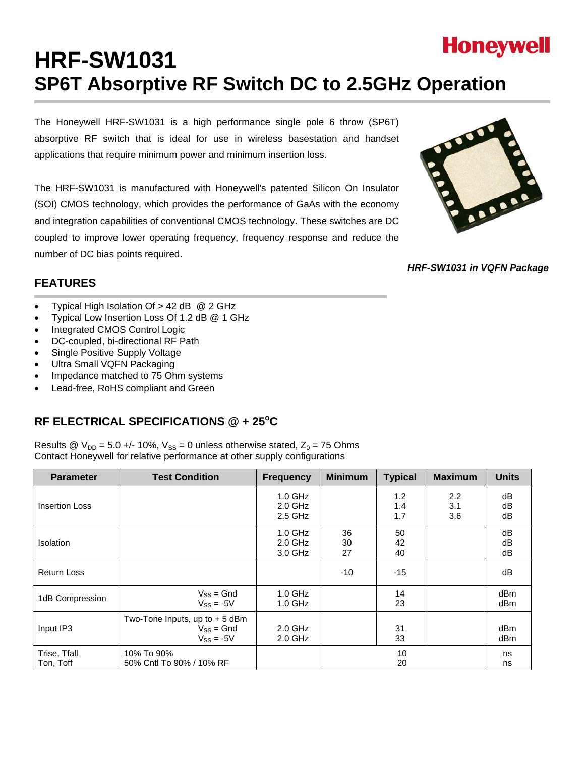# **Honeywell HRF-SW1031 SP6T Absorptive RF Switch DC to 2.5GHz Operation**

The Honeywell HRF-SW1031 is a high performance single pole 6 throw (SP6T) absorptive RF switch that is ideal for use in wireless basestation and handset applications that require minimum power and minimum insertion loss.

The HRF-SW1031 is manufactured with Honeywell's patented Silicon On Insulator (SOI) CMOS technology, which provides the performance of GaAs with the economy and integration capabilities of conventional CMOS technology. These switches are DC coupled to improve lower operating frequency, frequency response and reduce the number of DC bias points required.



*HRF-SW1031 in VQFN Package* 

# **FEATURES**

- Typical High Isolation Of > 42 dB @ 2 GHz
- Typical Low Insertion Loss Of 1.2 dB @ 1 GHz
- Integrated CMOS Control Logic
- DC-coupled, bi-directional RF Path
- Single Positive Supply Voltage
- Ultra Small VQFN Packaging
- Impedance matched to 75 Ohm systems
- Lead-free, RoHS compliant and Green

# RF ELECTRICAL SPECIFICATIONS @ + 25°C

Results @  $V_{DD} = 5.0 +/- 10\%$ ,  $V_{SS} = 0$  unless otherwise stated,  $Z_0 = 75$  Ohms Contact Honeywell for relative performance at other supply configurations

| <b>Parameter</b>          | <b>Test Condition</b>                                               | <b>Frequency</b>                    | <b>Minimum</b> | <b>Typical</b>    | <b>Maximum</b>    | <b>Units</b>   |
|---------------------------|---------------------------------------------------------------------|-------------------------------------|----------------|-------------------|-------------------|----------------|
| <b>Insertion Loss</b>     |                                                                     | $1.0$ GHz<br>$2.0$ GHz<br>$2.5$ GHz |                | 1.2<br>1.4<br>1.7 | 2.2<br>3.1<br>3.6 | dB<br>dB<br>dB |
| <b>Isolation</b>          |                                                                     | $1.0$ GHz<br>$2.0$ GHz<br>3.0 GHz   | 36<br>30<br>27 | 50<br>42<br>40    |                   | dB<br>dB<br>dB |
| <b>Return Loss</b>        |                                                                     |                                     | $-10$          | $-15$             |                   | dB             |
| 1dB Compression           | $V_{SS} = Gnd$<br>$V_{SS} = -5V$                                    | $1.0$ GHz<br>$1.0$ GHz              |                | 14<br>23          |                   | dBm<br>dBm     |
| Input IP3                 | Two-Tone Inputs, up to $+5$ dBm<br>$V_{SS} = Gnd$<br>$V_{SS} = -5V$ | $2.0$ GHz<br>$2.0$ GHz              |                | 31<br>33          |                   | dBm<br>dBm     |
| Trise, Tfall<br>Ton, Toff | 10% To 90%<br>50% Cntl To 90% / 10% RF                              |                                     |                | 10<br>20          |                   | ns<br>ns       |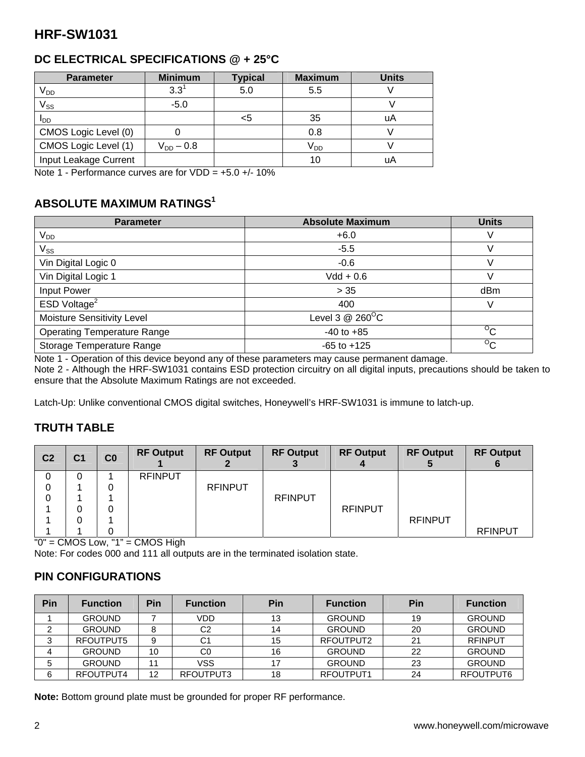# **DC ELECTRICAL SPECIFICATIONS @ + 25°C**

| <b>Parameter</b>      | <b>Minimum</b> | <b>Typical</b> | <b>Maximum</b>  | <b>Units</b> |
|-----------------------|----------------|----------------|-----------------|--------------|
| V <sub>DD</sub>       | $3.3^1$        | 5.0            | 5.5             |              |
| $V_{SS}$              | $-5.0$         |                |                 |              |
| I <sub>DD</sub>       |                | <5             | 35              | uA           |
| CMOS Logic Level (0)  |                |                | 0.8             |              |
| CMOS Logic Level (1)  | $V_{DD} - 0.8$ |                | V <sub>DD</sub> |              |
| Input Leakage Current |                |                | 10              | uA           |

Note 1 - Performance curves are for  $VDD = +5.0 +$  - 10%

# **ABSOLUTE MAXIMUM RATINGS1**

| <b>Parameter</b>                   | <b>Absolute Maximum</b>      | <b>Units</b>   |
|------------------------------------|------------------------------|----------------|
| $V_{DD}$                           | $+6.0$                       | V              |
| $V_{SS}$                           | $-5.5$                       | V              |
| Vin Digital Logic 0                | $-0.6$                       | V              |
| Vin Digital Logic 1                | $Vdd + 0.6$                  | V              |
| <b>Input Power</b>                 | > 35                         | dBm            |
| ESD Voltage <sup>2</sup>           | 400                          | V              |
| Moisture Sensitivity Level         | Level 3 $@$ 260 $^{\circ}$ C |                |
| <b>Operating Temperature Range</b> | $-40$ to $+85$               | $\overline{C}$ |
| Storage Temperature Range          | $-65$ to $+125$              | $\overline{C}$ |

Note 1 - Operation of this device beyond any of these parameters may cause permanent damage.

Note 2 - Although the HRF-SW1031 contains ESD protection circuitry on all digital inputs, precautions should be taken to ensure that the Absolute Maximum Ratings are not exceeded.

Latch-Up: Unlike conventional CMOS digital switches, Honeywell's HRF-SW1031 is immune to latch-up.

### **TRUTH TABLE**

| C <sub>2</sub> | C <sub>1</sub> | C <sub>0</sub> | <b>RF Output</b> | <b>RF Output</b> | <b>RF Output</b> | <b>RF Output</b> | <b>RF Output</b> | <b>RF Output</b> |
|----------------|----------------|----------------|------------------|------------------|------------------|------------------|------------------|------------------|
| 0              |                |                | <b>RFINPUT</b>   |                  |                  |                  |                  |                  |
| 0              |                | 0              |                  | <b>RFINPUT</b>   |                  |                  |                  |                  |
| 0              |                |                |                  |                  | <b>RFINPUT</b>   |                  |                  |                  |
|                |                | 0              |                  |                  |                  | <b>RFINPUT</b>   |                  |                  |
|                |                |                |                  |                  |                  |                  | <b>RFINPUT</b>   |                  |
|                |                |                |                  |                  |                  |                  |                  | <b>RFINPUT</b>   |

"0" = CMOS Low, "1" = CMOS High

Note: For codes 000 and 111 all outputs are in the terminated isolation state.

#### **PIN CONFIGURATIONS**

| Pin    | <b>Function</b> | Pin | <b>Function</b> | Pin | <b>Function</b> | Pin | <b>Function</b> |
|--------|-----------------|-----|-----------------|-----|-----------------|-----|-----------------|
|        | <b>GROUND</b>   |     | <b>VDD</b>      | 13  | <b>GROUND</b>   | 19  | <b>GROUND</b>   |
|        | <b>GROUND</b>   |     | C <sub>2</sub>  | 14  | <b>GROUND</b>   | 20  | <b>GROUND</b>   |
| ີ<br>د | RFOUTPUT5       | 9   | C1              | 15  | RFOUTPUT2       | 21  | <b>RFINPUT</b>  |
|        | <b>GROUND</b>   | 10  | C <sub>0</sub>  | 16  | <b>GROUND</b>   | 22  | <b>GROUND</b>   |
|        | <b>GROUND</b>   | 11  | <b>VSS</b>      |     | <b>GROUND</b>   | 23  | <b>GROUND</b>   |
| 6      | RFOUTPUT4       | 12  | RFOUTPUT3       | 18  | RFOUTPUT1       | 24  | RFOUTPUT6       |

**Note:** Bottom ground plate must be grounded for proper RF performance.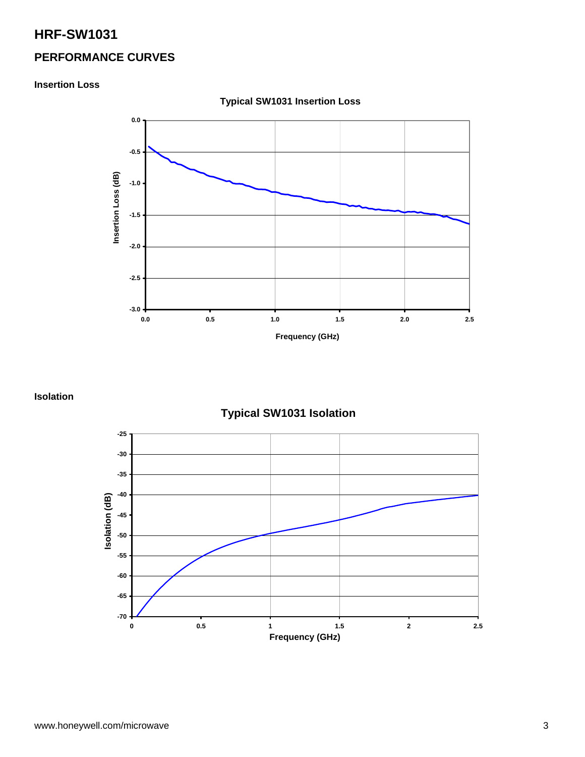# **PERFORMANCE CURVES**

#### **Insertion Loss**



**Typical SW1031 Insertion Loss** 

#### **Isolation**

**Typical SW1031 Isolation** 

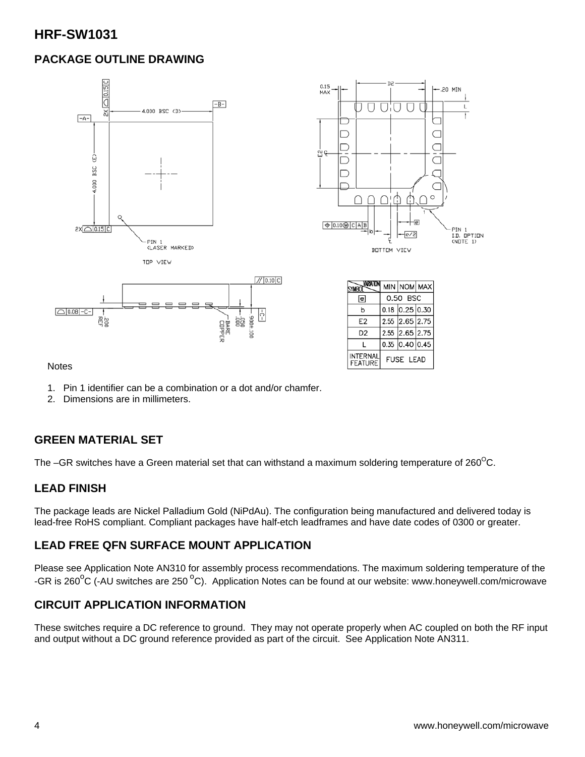# **PACKAGE OUTLINE DRAWING**



**Notes** 

- 1. Pin 1 identifier can be a combination or a dot and/or chamfer.
- 2. Dimensions are in millimeters.

### **GREEN MATERIAL SET**

The –GR switches have a Green material set that can withstand a maximum soldering temperature of  $260^{\circ}$ C.

#### **LEAD FINISH**

The package leads are Nickel Palladium Gold (NiPdAu). The configuration being manufactured and delivered today is lead-free RoHS compliant. Compliant packages have half-etch leadframes and have date codes of 0300 or greater.

#### **LEAD FREE QFN SURFACE MOUNT APPLICATION**

Please see Application Note AN310 for assembly process recommendations. The maximum soldering temperature of the -GR is 260<sup>o</sup>C (-AU switches are 250<sup>o</sup>C). Application Notes can be found at our website: www.honeywell.com/microwave

### **CIRCUIT APPLICATION INFORMATION**

These switches require a DC reference to ground. They may not operate properly when AC coupled on both the RF input and output without a DC ground reference provided as part of the circuit. See Application Note AN311.